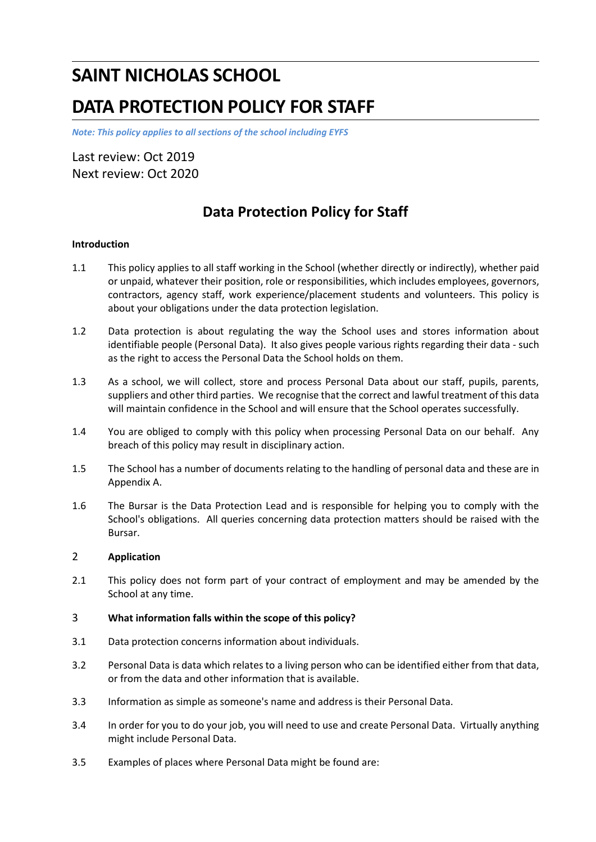# **SAINT NICHOLAS SCHOOL**

# **DATA PROTECTION POLICY FOR STAFF**

*Note: This policy applies to all sections of the school including EYFS*

Last review: Oct 2019 Next review: Oct 2020

## **Data Protection Policy for Staff**

#### **Introduction**

- 1.1 This policy applies to all staff working in the School (whether directly or indirectly), whether paid or unpaid, whatever their position, role or responsibilities, which includes employees, governors, contractors, agency staff, work experience/placement students and volunteers. This policy is about your obligations under the data protection legislation.
- 1.2 Data protection is about regulating the way the School uses and stores information about identifiable people (Personal Data). It also gives people various rights regarding their data - such as the right to access the Personal Data the School holds on them.
- 1.3 As a school, we will collect, store and process Personal Data about our staff, pupils, parents, suppliers and other third parties. We recognise that the correct and lawful treatment of this data will maintain confidence in the School and will ensure that the School operates successfully.
- 1.4 You are obliged to comply with this policy when processing Personal Data on our behalf. Any breach of this policy may result in disciplinary action.
- 1.5 The School has a number of documents relating to the handling of personal data and these are in Appendix A.
- 1.6 The Bursar is the Data Protection Lead and is responsible for helping you to comply with the School's obligations. All queries concerning data protection matters should be raised with the Bursar.

#### 2 **Application**

2.1 This policy does not form part of your contract of employment and may be amended by the School at any time.

#### 3 **What information falls within the scope of this policy?**

- 3.1 Data protection concerns information about individuals.
- 3.2 Personal Data is data which relates to a living person who can be identified either from that data, or from the data and other information that is available.
- 3.3 Information as simple as someone's name and address is their Personal Data.
- 3.4 In order for you to do your job, you will need to use and create Personal Data. Virtually anything might include Personal Data.
- 3.5 Examples of places where Personal Data might be found are: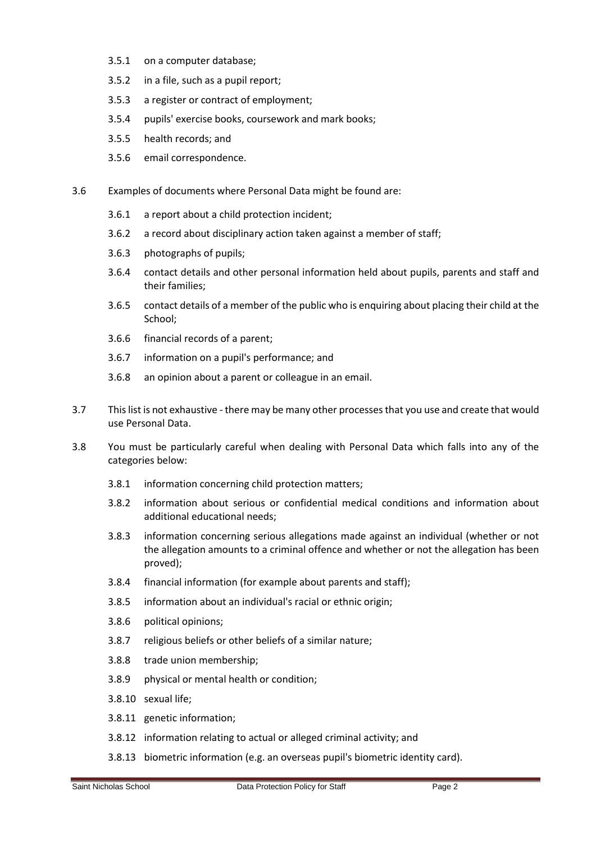- 3.5.1 on a computer database;
- 3.5.2 in a file, such as a pupil report;
- 3.5.3 a register or contract of employment;
- 3.5.4 pupils' exercise books, coursework and mark books;
- 3.5.5 health records; and
- 3.5.6 email correspondence.
- 3.6 Examples of documents where Personal Data might be found are:
	- 3.6.1 a report about a child protection incident;
	- 3.6.2 a record about disciplinary action taken against a member of staff;
	- 3.6.3 photographs of pupils;
	- 3.6.4 contact details and other personal information held about pupils, parents and staff and their families;
	- 3.6.5 contact details of a member of the public who is enquiring about placing their child at the School;
	- 3.6.6 financial records of a parent;
	- 3.6.7 information on a pupil's performance; and
	- 3.6.8 an opinion about a parent or colleague in an email.
- 3.7 This list is not exhaustive there may be many other processes that you use and create that would use Personal Data.
- 3.8 You must be particularly careful when dealing with Personal Data which falls into any of the categories below:
	- 3.8.1 information concerning child protection matters;
	- 3.8.2 information about serious or confidential medical conditions and information about additional educational needs;
	- 3.8.3 information concerning serious allegations made against an individual (whether or not the allegation amounts to a criminal offence and whether or not the allegation has been proved);
	- 3.8.4 financial information (for example about parents and staff);
	- 3.8.5 information about an individual's racial or ethnic origin;
	- 3.8.6 political opinions;
	- 3.8.7 religious beliefs or other beliefs of a similar nature;
	- 3.8.8 trade union membership;
	- 3.8.9 physical or mental health or condition;
	- 3.8.10 sexual life;
	- 3.8.11 genetic information;
	- 3.8.12 information relating to actual or alleged criminal activity; and
	- 3.8.13 biometric information (e.g. an overseas pupil's biometric identity card).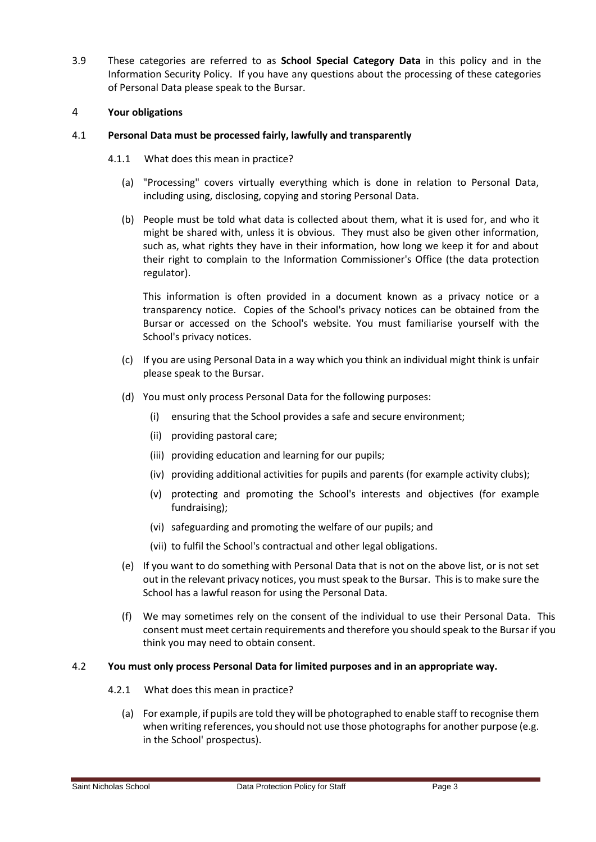3.9 These categories are referred to as **School Special Category Data** in this policy and in the Information Security Policy. If you have any questions about the processing of these categories of Personal Data please speak to the Bursar.

#### 4 **Your obligations**

#### 4.1 **Personal Data must be processed fairly, lawfully and transparently**

- 4.1.1 What does this mean in practice?
	- (a) "Processing" covers virtually everything which is done in relation to Personal Data, including using, disclosing, copying and storing Personal Data.
	- (b) People must be told what data is collected about them, what it is used for, and who it might be shared with, unless it is obvious. They must also be given other information, such as, what rights they have in their information, how long we keep it for and about their right to complain to the Information Commissioner's Office (the data protection regulator).

This information is often provided in a document known as a privacy notice or a transparency notice. Copies of the School's privacy notices can be obtained from the Bursar or accessed on the School's website. You must familiarise yourself with the School's privacy notices.

- (c) If you are using Personal Data in a way which you think an individual might think is unfair please speak to the Bursar.
- (d) You must only process Personal Data for the following purposes:
	- (i) ensuring that the School provides a safe and secure environment;
	- (ii) providing pastoral care;
	- (iii) providing education and learning for our pupils;
	- (iv) providing additional activities for pupils and parents (for example activity clubs);
	- (v) protecting and promoting the School's interests and objectives (for example fundraising);
	- (vi) safeguarding and promoting the welfare of our pupils; and
	- (vii) to fulfil the School's contractual and other legal obligations.
- (e) If you want to do something with Personal Data that is not on the above list, or is not set out in the relevant privacy notices, you must speak to the Bursar. This is to make sure the School has a lawful reason for using the Personal Data.
- (f) We may sometimes rely on the consent of the individual to use their Personal Data. This consent must meet certain requirements and therefore you should speak to the Bursar if you think you may need to obtain consent.

#### 4.2 **You must only process Personal Data for limited purposes and in an appropriate way.**

- 4.2.1 What does this mean in practice?
	- (a) For example, if pupils are told they will be photographed to enable staff to recognise them when writing references, you should not use those photographs for another purpose (e.g. in the School' prospectus).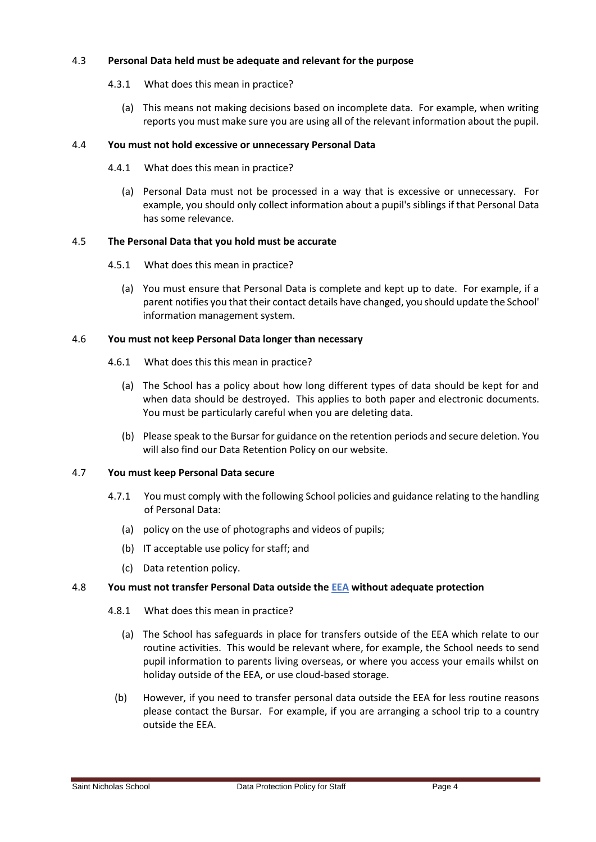#### 4.3 **Personal Data held must be adequate and relevant for the purpose**

- 4.3.1 What does this mean in practice?
	- (a) This means not making decisions based on incomplete data. For example, when writing reports you must make sure you are using all of the relevant information about the pupil.

#### 4.4 **You must not hold excessive or unnecessary Personal Data**

- 4.4.1 What does this mean in practice?
	- (a) Personal Data must not be processed in a way that is excessive or unnecessary. For example, you should only collect information about a pupil's siblings if that Personal Data has some relevance.

#### 4.5 **The Personal Data that you hold must be accurate**

- 4.5.1 What does this mean in practice?
	- (a) You must ensure that Personal Data is complete and kept up to date. For example, if a parent notifies you that their contact details have changed, you should update the School' information management system.

#### 4.6 **You must not keep Personal Data longer than necessary**

- 4.6.1 What does this this mean in practice?
	- (a) The School has a policy about how long different types of data should be kept for and when data should be destroyed. This applies to both paper and electronic documents. You must be particularly careful when you are deleting data.
	- (b) Please speak to the Bursar for guidance on the retention periods and secure deletion. You will also find our Data Retention Policy on our website.

#### 4.7 **You must keep Personal Data secure**

- 4.7.1 You must comply with the following School policies and guidance relating to the handling of Personal Data:
	- (a) policy on the use of photographs and videos of pupils;
	- (b) IT acceptable use policy for staff; and
	- (c) Data retention policy.

### 4.8 **You must not transfer Personal Data outside the [EEA](https://www.gov.uk/eu-eea) without adequate protection**

- 4.8.1 What does this mean in practice?
	- (a) The School has safeguards in place for transfers outside of the EEA which relate to our routine activities. This would be relevant where, for example, the School needs to send pupil information to parents living overseas, or where you access your emails whilst on holiday outside of the EEA, or use cloud-based storage.
	- (b) However, if you need to transfer personal data outside the EEA for less routine reasons please contact the Bursar. For example, if you are arranging a school trip to a country outside the EEA.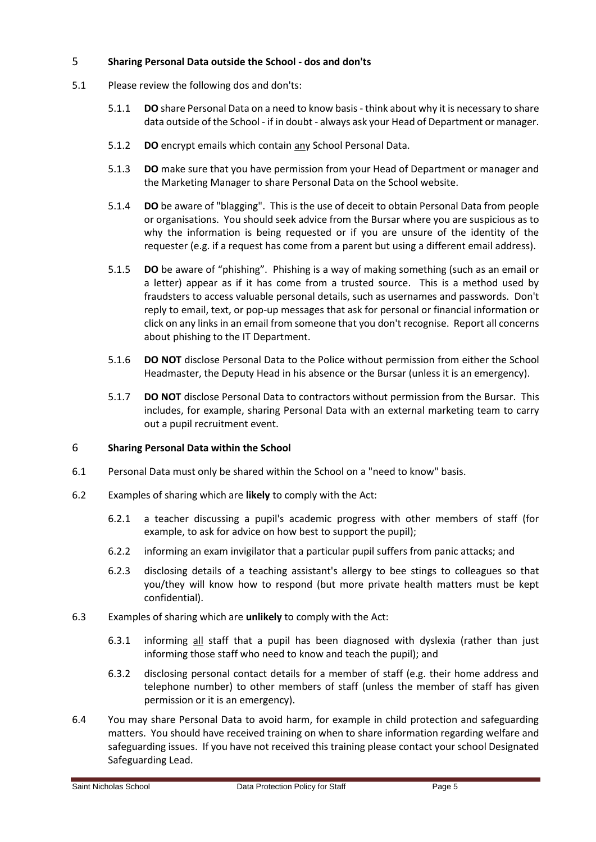#### 5 **Sharing Personal Data outside the School - dos and don'ts**

- 5.1 Please review the following dos and don'ts:
	- 5.1.1 **DO** share Personal Data on a need to know basis think about why it is necessary to share data outside of the School - if in doubt - always ask your Head of Department or manager.
	- 5.1.2 **DO** encrypt emails which contain any School Personal Data.
	- 5.1.3 **DO** make sure that you have permission from your Head of Department or manager and the Marketing Manager to share Personal Data on the School website.
	- 5.1.4 **DO** be aware of "blagging". This is the use of deceit to obtain Personal Data from people or organisations. You should seek advice from the Bursar where you are suspicious as to why the information is being requested or if you are unsure of the identity of the requester (e.g. if a request has come from a parent but using a different email address).
	- 5.1.5 **DO** be aware of "phishing". Phishing is a way of making something (such as an email or a letter) appear as if it has come from a trusted source. This is a method used by fraudsters to access valuable personal details, such as usernames and passwords. Don't reply to email, text, or pop-up messages that ask for personal or financial information or click on any links in an email from someone that you don't recognise. Report all concerns about phishing to the IT Department.
	- 5.1.6 **DO NOT** disclose Personal Data to the Police without permission from either the School Headmaster, the Deputy Head in his absence or the Bursar (unless it is an emergency).
	- 5.1.7 **DO NOT** disclose Personal Data to contractors without permission from the Bursar. This includes, for example, sharing Personal Data with an external marketing team to carry out a pupil recruitment event.

#### 6 **Sharing Personal Data within the School**

- 6.1 Personal Data must only be shared within the School on a "need to know" basis.
- 6.2 Examples of sharing which are **likely** to comply with the Act:
	- 6.2.1 a teacher discussing a pupil's academic progress with other members of staff (for example, to ask for advice on how best to support the pupil);
	- 6.2.2 informing an exam invigilator that a particular pupil suffers from panic attacks; and
	- 6.2.3 disclosing details of a teaching assistant's allergy to bee stings to colleagues so that you/they will know how to respond (but more private health matters must be kept confidential).
- 6.3 Examples of sharing which are **unlikely** to comply with the Act:
	- 6.3.1 informing all staff that a pupil has been diagnosed with dyslexia (rather than just informing those staff who need to know and teach the pupil); and
	- 6.3.2 disclosing personal contact details for a member of staff (e.g. their home address and telephone number) to other members of staff (unless the member of staff has given permission or it is an emergency).
- 6.4 You may share Personal Data to avoid harm, for example in child protection and safeguarding matters. You should have received training on when to share information regarding welfare and safeguarding issues. If you have not received this training please contact your school Designated Safeguarding Lead.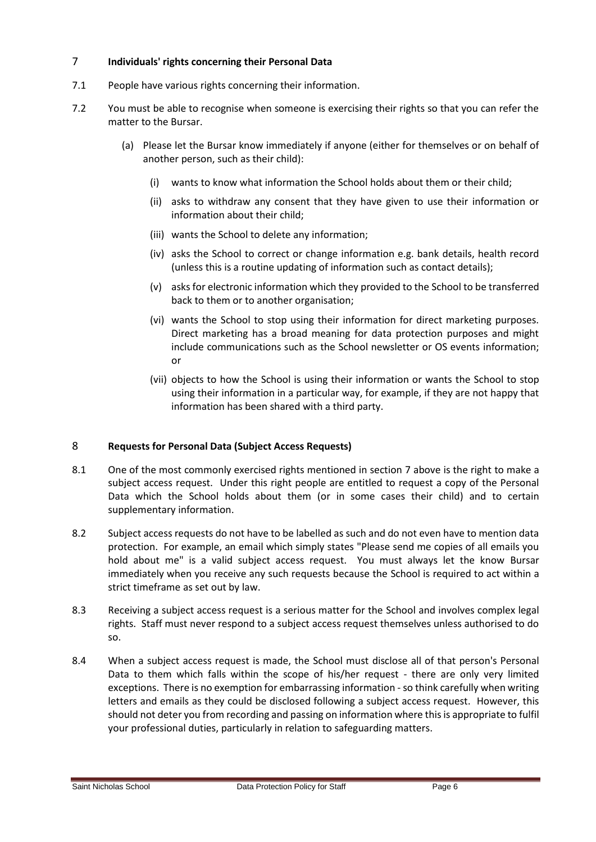#### <span id="page-5-0"></span>7 **Individuals' rights concerning their Personal Data**

- 7.1 People have various rights concerning their information.
- 7.2 You must be able to recognise when someone is exercising their rights so that you can refer the matter to the Bursar.
	- (a) Please let the Bursar know immediately if anyone (either for themselves or on behalf of another person, such as their child):
		- (i) wants to know what information the School holds about them or their child;
		- (ii) asks to withdraw any consent that they have given to use their information or information about their child;
		- (iii) wants the School to delete any information;
		- (iv) asks the School to correct or change information e.g. bank details, health record (unless this is a routine updating of information such as contact details);
		- (v) asks for electronic information which they provided to the School to be transferred back to them or to another organisation;
		- (vi) wants the School to stop using their information for direct marketing purposes. Direct marketing has a broad meaning for data protection purposes and might include communications such as the School newsletter or OS events information; or
		- (vii) objects to how the School is using their information or wants the School to stop using their information in a particular way, for example, if they are not happy that information has been shared with a third party.

#### 8 **Requests for Personal Data (Subject Access Requests)**

- 8.1 One of the most commonly exercised rights mentioned in section [7](#page-5-0) above is the right to make a subject access request. Under this right people are entitled to request a copy of the Personal Data which the School holds about them (or in some cases their child) and to certain supplementary information.
- 8.2 Subject access requests do not have to be labelled as such and do not even have to mention data protection. For example, an email which simply states "Please send me copies of all emails you hold about me" is a valid subject access request. You must always let the know Bursar immediately when you receive any such requests because the School is required to act within a strict timeframe as set out by law.
- 8.3 Receiving a subject access request is a serious matter for the School and involves complex legal rights. Staff must never respond to a subject access request themselves unless authorised to do so.
- 8.4 When a subject access request is made, the School must disclose all of that person's Personal Data to them which falls within the scope of his/her request - there are only very limited exceptions. There is no exemption for embarrassing information - so think carefully when writing letters and emails as they could be disclosed following a subject access request. However, this should not deter you from recording and passing on information where this is appropriate to fulfil your professional duties, particularly in relation to safeguarding matters.